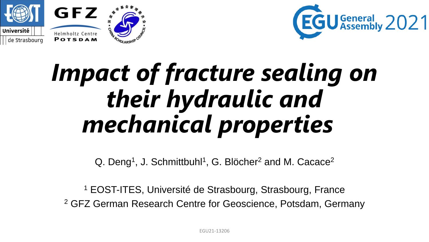



## *Impact of fracture sealing on their hydraulic and mechanical properties*

Q. Deng<sup>1</sup>, J. Schmittbuhl<sup>1</sup>, G. Blöcher<sup>2</sup> and M. Cacace<sup>2</sup>

<sup>1</sup> EOST-ITES, Université de Strasbourg, Strasbourg, France <sup>2</sup> GFZ German Research Centre for Geoscience, Potsdam, Germany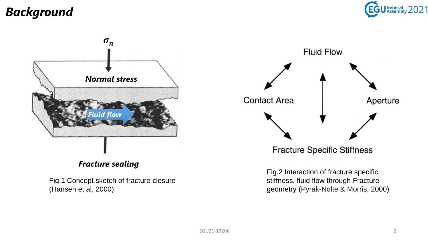## *Background*





Fig.1 Concept sketch of fracture closure (Hansen et al, 2000)



**Fracture Specific Stiffness** 

Fig.2 Interaction of fracture specific stiffness, fluid flow through Fracture geometry (Pyrak-Nolte & Morris, 2000)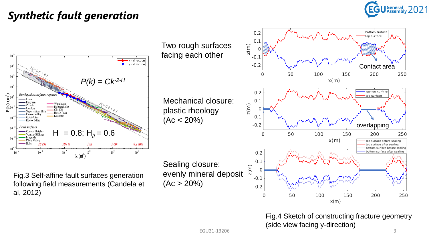## General 2021

### *Synthetic fault generation*



Fig.3 Self-affine fault surfaces generation following field measurements (Candela et al, 2012)

Sealing closure: evenly mineral deposit  $(Ac > 20\%)$ 

Two rough surfaces

Mechanical closure:

plastic rheology

 $(Ac < 20\%)$ 

facing each other



Fig.4 Sketch of constructing fracture geometry (side view facing y-direction) EGU21-13206 3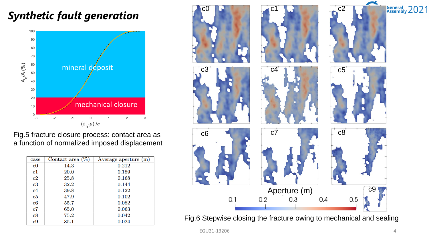## *Synthetic fault generation*



Fig.5 fracture closure process: contact area as a function of normalized imposed displacement

| case          | Contact area $(\%)$ | Average aperture (m) |
|---------------|---------------------|----------------------|
| $_{\rm c0}$   | 14.3                | 0.212                |
| $\mathbf{c}1$ | 20.0                | 0.189                |
| c2            | 25.8                | 0.168                |
| $_{\rm c3}$   | 32.2                | 0.144                |
| c4            | 39.8                | 0.122                |
| c5            | 47.9                | 0.102                |
| c6            | 55.7                | 0.082                |
| $\mathbf{c}7$ | 65.0                | 0.063                |
| $_{\rm c8}$   | 75.2                | 0.042                |
| c9            | 85.1                | 0.024                |



EGU21-13206 4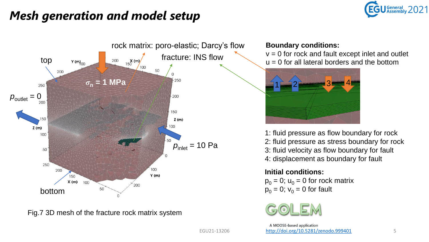

## *Mesh generation and model setup*



Fig.7 3D mesh of the fracture rock matrix system

#### **Boundary conditions:**

 $v = 0$  for rock and fault except inlet and outlet  $u = 0$  for all lateral borders and the bottom



1: fluid pressure as flow boundary for rock 2: fluid pressure as stress boundary for rock 3: fluid velocity as flow boundary for fault 4: displacement as boundary for fault

#### **Initial conditions:**

 $p_0 = 0$ ;  $u_0 = 0$  for rock matrix  $p_0 = 0$ ;  $v_0 = 0$  for fault



A MOOSE-based application EGU21-13206 <http://doi.org/10.5281/zenodo.999401> 5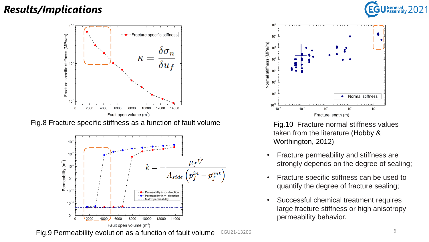### *Results/Implications*



Fig.8 Fracture specific stiffness as a function of fault volume





Fig.10 Fracture normal stiffness values taken from the literature (Hobby & Worthington, 2012)

- Fracture permeability and stiffness are strongly depends on the degree of sealing;
- Fracture specific stiffness can be used to quantify the degree of fracture sealing;
- Successful chemical treatment requires large fracture stiffness or high anisotropy permeability behavior.

Fig.9 Permeability evolution as a function of fault volume EGU21-13206 6

General 2021